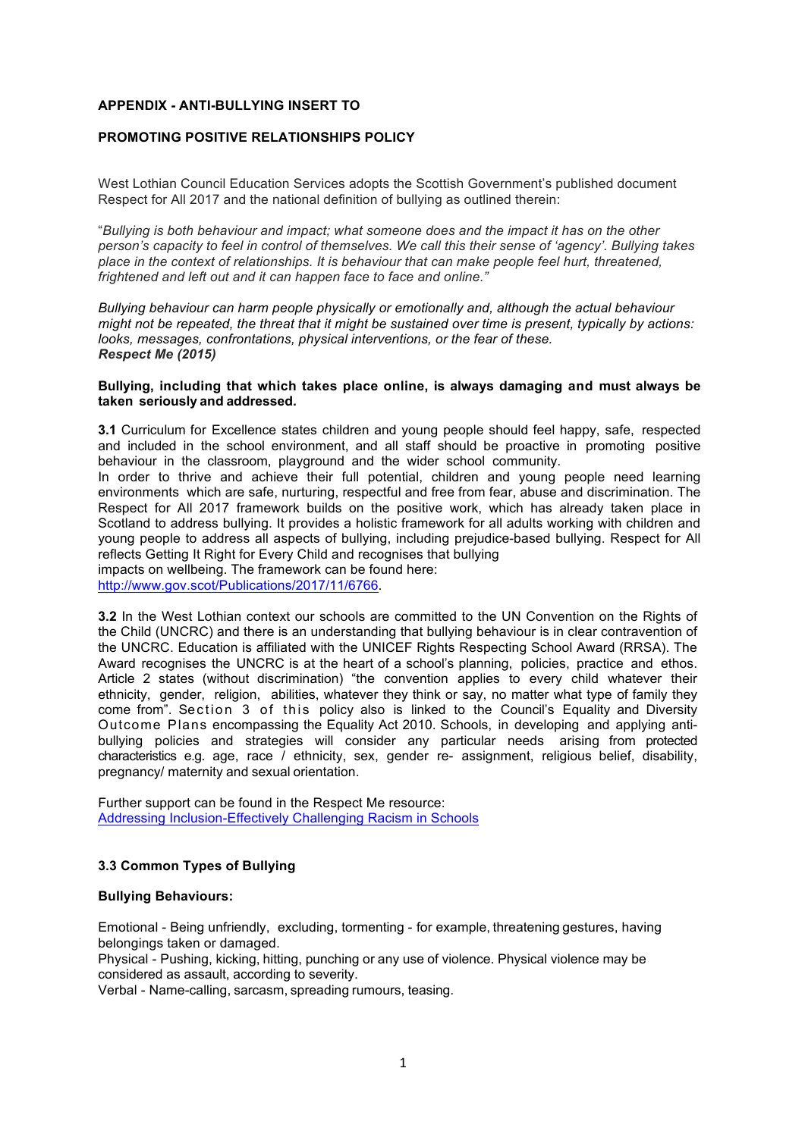## **APPENDIX - ANTI-BULLYING INSERT TO**

## **PROMOTING POSITIVE RELATIONSHIPS POLICY**

West Lothian Council Education Services adopts the Scottish Government's published document Respect for All 2017 and the national definition of bullying as outlined therein:

"*Bullying is both behaviour and impact; what someone does and the impact it has on the other person's capacity to feel in control of themselves. We call this their sense of 'agency'. Bullying takes place in the context of relationships. It is behaviour that can make people feel hurt, threatened, frightened and left out and it can happen face to face and online."*

*Bullying behaviour can harm people physically or emotionally and, although the actual behaviour might not be repeated, the threat that it might be sustained over time is present, typically by actions: looks, messages, confrontations, physical interventions, or the fear of these. Respect Me (2015)*

#### **Bullying, including that which takes place online, is always damaging and must always be taken seriously and addressed.**

**3.1** Curriculum for Excellence states children and young people should feel happy, safe, respected and included in the school environment, and all staff should be proactive in promoting positive behaviour in the classroom, playground and the wider school community.

In order to thrive and achieve their full potential, children and young people need learning environments which are safe, nurturing, respectful and free from fear, abuse and discrimination. The Respect for All 2017 framework builds on the positive work, which has already taken place in Scotland to address bullying. It provides a holistic framework for all adults working with children and young people to address all aspects of bullying, including prejudice-based bullying. Respect for All reflects Getting It Right for Every Child and recognises that bullying impacts on wellbeing. The framework can be found here:

http://www.gov.scot/Publications/2017/11/6766.

**3.2** In the West Lothian context our schools are committed to the UN Convention on the Rights of the Child (UNCRC) and there is an understanding that bullying behaviour is in clear contravention of the UNCRC. Education is affiliated with the UNICEF Rights Respecting School Award (RRSA). The Award recognises the UNCRC is at the heart of a school's planning, policies, practice and ethos. Article 2 states (without discrimination) "the convention applies to every child whatever their ethnicity, gender, religion, abilities, whatever they think or say, no matter what type of family they come from". Section 3 of this policy also is linked to the Council's Equality and Diversity Outcome Plans encompassing the Equality Act 2010. Schools, in developing and applying antibullying policies and strategies will consider any particular needs arising from protected characteristics e.g. age, race / ethnicity, sex, gender re- assignment, religious belief, disability, pregnancy/ maternity and sexual orientation.

Further support can be found in the Respect Me resource: Addressing Inclusion-Effectively Challenging Racism in Schools

# **3.3 Common Types of Bullying**

#### **Bullying Behaviours:**

Emotional - Being unfriendly, excluding, tormenting - for example, threatening gestures, having belongings taken or damaged.

Physical - Pushing, kicking, hitting, punching or any use of violence. Physical violence may be considered as assault, according to severity.

Verbal - Name-calling, sarcasm, spreading rumours, teasing.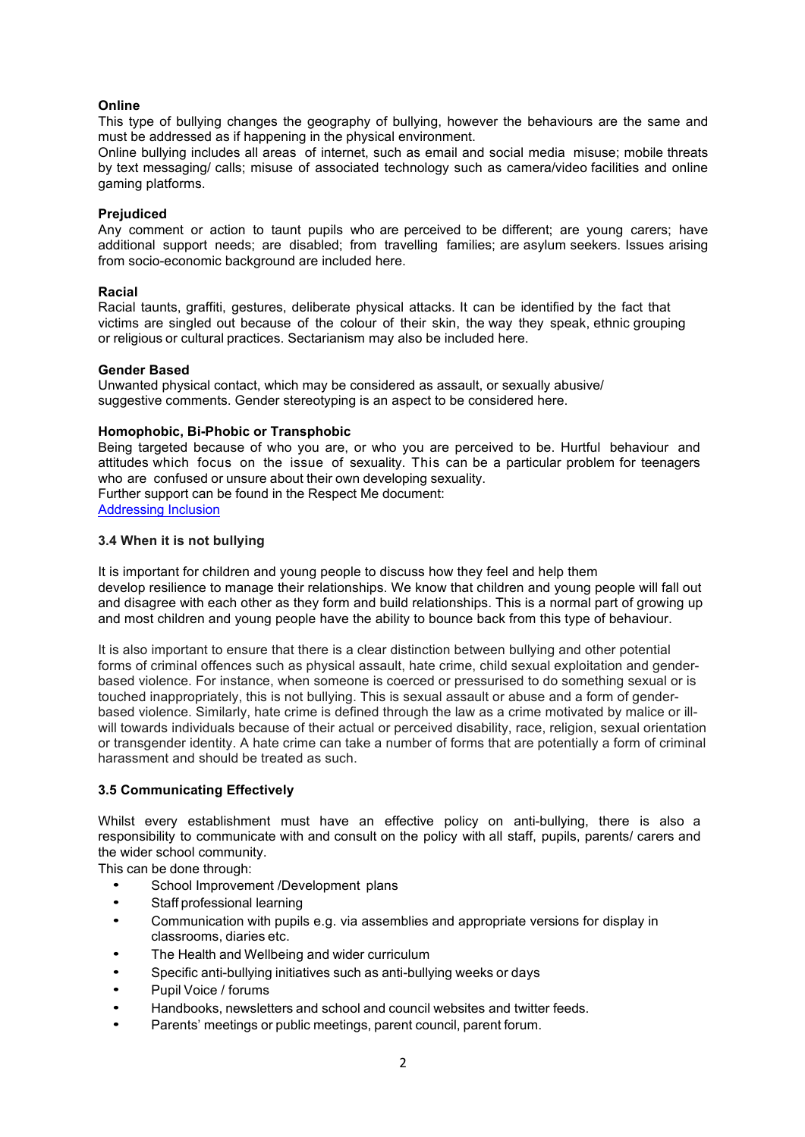# **Online**

This type of bullying changes the geography of bullying, however the behaviours are the same and must be addressed as if happening in the physical environment.

Online bullying includes all areas of internet, such as email and social media misuse; mobile threats by text messaging/ calls; misuse of associated technology such as camera/video facilities and online gaming platforms.

#### **Prejudiced**

Any comment or action to taunt pupils who are perceived to be different; are young carers; have additional support needs; are disabled; from travelling families; are asylum seekers. Issues arising from socio-economic background are included here.

#### **Racial**

Racial taunts, graffiti, gestures, deliberate physical attacks. It can be identified by the fact that victims are singled out because of the colour of their skin, the way they speak, ethnic grouping or religious or cultural practices. Sectarianism may also be included here.

## **Gender Based**

Unwanted physical contact, which may be considered as assault, or sexually abusive/ suggestive comments. Gender stereotyping is an aspect to be considered here.

## **Homophobic, Bi-Phobic or Transphobic**

Being targeted because of who you are, or who you are perceived to be. Hurtful behaviour and attitudes which focus on the issue of sexuality. This can be a particular problem for teenagers who are confused or unsure about their own developing sexuality. Further support can be found in the Respect Me document: Addressing Inclusion

## **3.4 When it is not bullying**

It is important for children and young people to discuss how they feel and help them develop resilience to manage their relationships. We know that children and young people will fall out and disagree with each other as they form and build relationships. This is a normal part of growing up and most children and young people have the ability to bounce back from this type of behaviour.

It is also important to ensure that there is a clear distinction between bullying and other potential forms of criminal offences such as physical assault, hate crime, child sexual exploitation and genderbased violence. For instance, when someone is coerced or pressurised to do something sexual or is touched inappropriately, this is not bullying. This is sexual assault or abuse and a form of genderbased violence. Similarly, hate crime is defined through the law as a crime motivated by malice or illwill towards individuals because of their actual or perceived disability, race, religion, sexual orientation or transgender identity. A hate crime can take a number of forms that are potentially a form of criminal harassment and should be treated as such.

# **3.5 Communicating Effectively**

Whilst every establishment must have an effective policy on anti-bullying, there is also a responsibility to communicate with and consult on the policy with all staff, pupils, parents/ carers and the wider school community.

This can be done through:

- School Improvement /Development plans
- Staff professional learning
- Communication with pupils e.g. via assemblies and appropriate versions for display in classrooms, diaries etc.
- The Health and Wellbeing and wider curriculum
- Specific anti-bullying initiatives such as anti-bullying weeks or days
- Pupil Voice / forums
- Handbooks, newsletters and school and council websites and twitter feeds.
- Parents' meetings or public meetings, parent council, parent forum.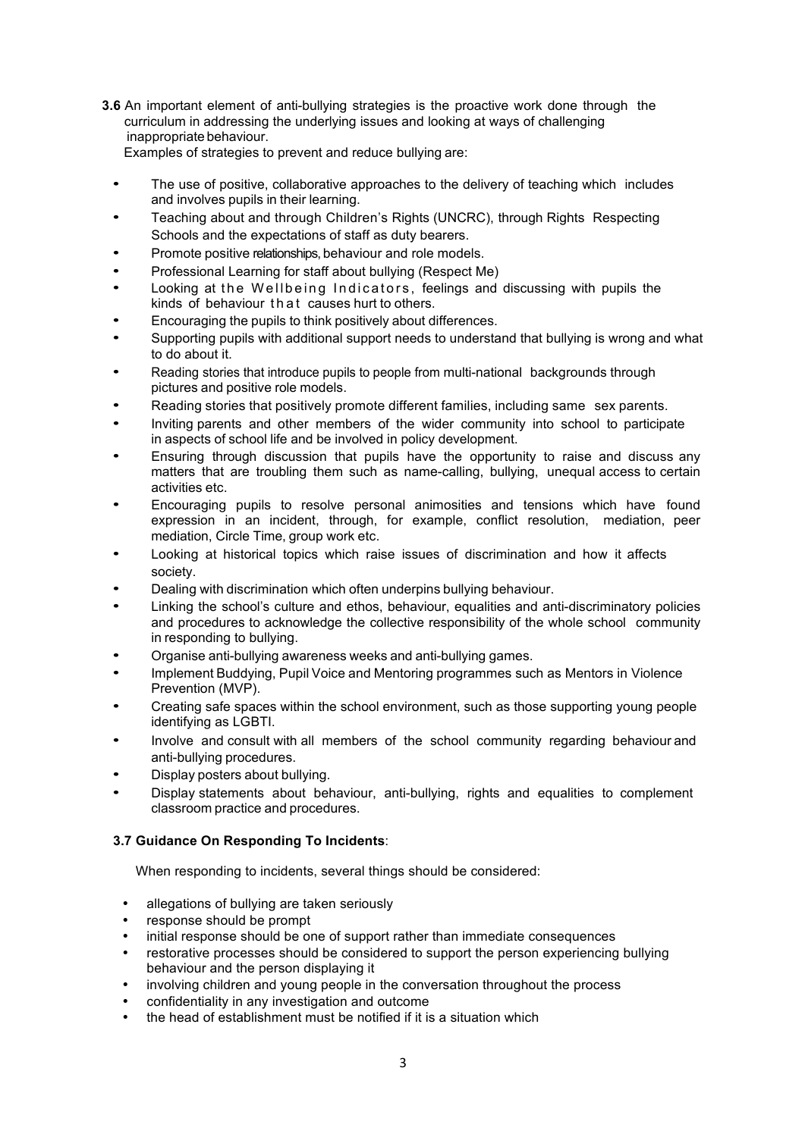- **3.6** An important element of anti-bullying strategies is the proactive work done through the curriculum in addressing the underlying issues and looking at ways of challenging inappropriate behaviour.
	- Examples of strategies to prevent and reduce bullying are:
	- The use of positive, collaborative approaches to the delivery of teaching which includes and involves pupils in their learning.
	- Teaching about and through Children's Rights (UNCRC), through Rights Respecting Schools and the expectations of staff as duty bearers.
	- Promote positive relationships, behaviour and role models.
	- Professional Learning for staff about bullying (Respect Me)
	- Looking at the Wellbeing Indicators, feelings and discussing with pupils the kinds of behaviour that causes hurt to others.
	- Encouraging the pupils to think positively about differences.
	- Supporting pupils with additional support needs to understand that bullying is wrong and what to do about it.
	- Reading stories that introduce pupils to people from multi-national backgrounds through pictures and positive role models.
	- Reading stories that positively promote different families, including same sex parents.
	- Inviting parents and other members of the wider community into school to participate in aspects of school life and be involved in policy development.
	- Ensuring through discussion that pupils have the opportunity to raise and discuss any matters that are troubling them such as name-calling, bullying, unequal access to certain activities etc.
	- Encouraging pupils to resolve personal animosities and tensions which have found expression in an incident, through, for example, conflict resolution, mediation, peer mediation, Circle Time, group work etc.
	- Looking at historical topics which raise issues of discrimination and how it affects society.
	- Dealing with discrimination which often underpins bullying behaviour.
	- Linking the school's culture and ethos, behaviour, equalities and anti-discriminatory policies and procedures to acknowledge the collective responsibility of the whole school community in responding to bullying.
	- Organise anti-bullying awareness weeks and anti-bullying games.
	- Implement Buddying, Pupil Voice and Mentoring programmes such as Mentors in Violence Prevention (MVP).
	- Creating safe spaces within the school environment, such as those supporting young people identifying as LGBTI.
	- Involve and consult with all members of the school community regarding behaviour and anti-bullying procedures.
	- Display posters about bullying.
	- Display statements about behaviour, anti-bullying, rights and equalities to complement classroom practice and procedures.

# **3.7 Guidance On Responding To Incidents**:

When responding to incidents, several things should be considered:

- allegations of bullying are taken seriously
- response should be prompt
- initial response should be one of support rather than immediate consequences
- restorative processes should be considered to support the person experiencing bullying behaviour and the person displaying it
- involving children and young people in the conversation throughout the process
- confidentiality in any investigation and outcome
- the head of establishment must be notified if it is a situation which